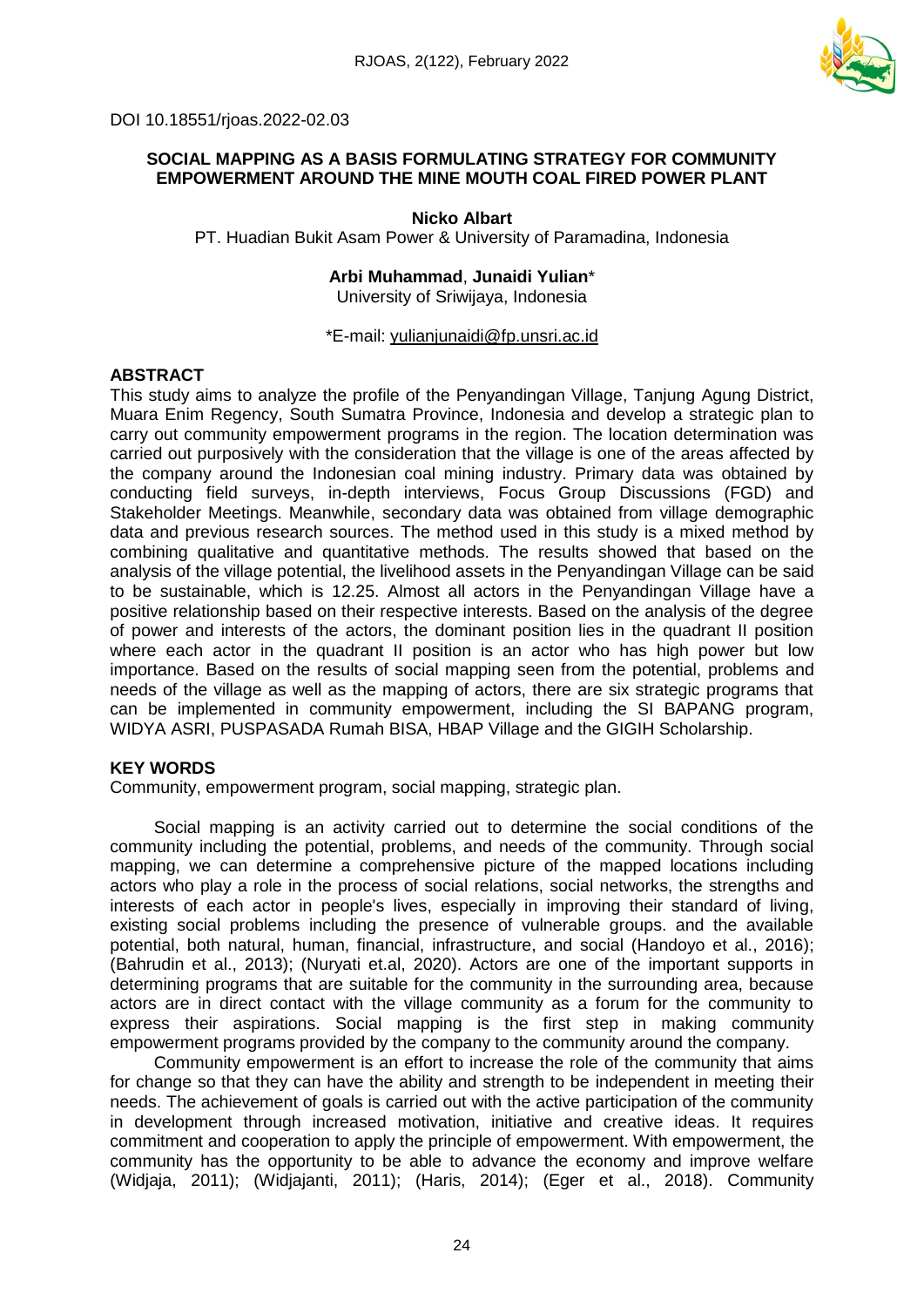

DOI 10.18551/rjoas.2022-02.03

## **SOCIAL MAPPING AS A BASIS FORMULATING STRATEGY FOR COMMUNITY EMPOWERMENT AROUND THE MINE MOUTH COAL FIRED POWER PLANT**

**Nicko Albart** PT. Huadian Bukit Asam Power & University of Paramadina, Indonesia

> **Arbi Muhammad**, **Junaidi Yulian**\* University of Sriwijaya, Indonesia

\*E-mail: [yulianjunaidi@fp.unsri.ac.id](mailto:yulianjunaidi@fp.unsri.ac.id)

## **ABSTRACT**

This study aims to analyze the profile of the Penyandingan Village, Tanjung Agung District, Muara Enim Regency, South Sumatra Province, Indonesia and develop a strategic plan to carry out community empowerment programs in the region. The location determination was carried out purposively with the consideration that the village is one of the areas affected by the company around the Indonesian coal mining industry. Primary data was obtained by conducting field surveys, in-depth interviews, Focus Group Discussions (FGD) and Stakeholder Meetings. Meanwhile, secondary data was obtained from village demographic data and previous research sources. The method used in this study is a mixed method by combining qualitative and quantitative methods. The results showed that based on the analysis of the village potential, the livelihood assets in the Penyandingan Village can be said to be sustainable, which is 12.25. Almost all actors in the Penyandingan Village have a positive relationship based on their respective interests. Based on the analysis of the degree of power and interests of the actors, the dominant position lies in the quadrant II position where each actor in the quadrant II position is an actor who has high power but low importance. Based on the results of social mapping seen from the potential, problems and needs of the village as well as the mapping of actors, there are six strategic programs that can be implemented in community empowerment, including the SI BAPANG program, WIDYA ASRI, PUSPASADA Rumah BISA, HBAP Village and the GIGIH Scholarship.

## **KEY WORDS**

Community, empowerment program, social mapping, strategic plan.

Social mapping is an activity carried out to determine the social conditions of the community including the potential, problems, and needs of the community. Through social mapping, we can determine a comprehensive picture of the mapped locations including actors who play a role in the process of social relations, social networks, the strengths and interests of each actor in people's lives, especially in improving their standard of living, existing social problems including the presence of vulnerable groups. and the available potential, both natural, human, financial, infrastructure, and social (Handoyo et al., 2016); (Bahrudin et al., 2013); (Nuryati et.al, 2020). Actors are one of the important supports in determining programs that are suitable for the community in the surrounding area, because actors are in direct contact with the village community as a forum for the community to express their aspirations. Social mapping is the first step in making community empowerment programs provided by the company to the community around the company.

Community empowerment is an effort to increase the role of the community that aims for change so that they can have the ability and strength to be independent in meeting their needs. The achievement of goals is carried out with the active participation of the community in development through increased motivation, initiative and creative ideas. It requires commitment and cooperation to apply the principle of empowerment. With empowerment, the community has the opportunity to be able to advance the economy and improve welfare (Widjaja, 2011); (Widjajanti, 2011); (Haris, 2014); (Eger et al., 2018). Community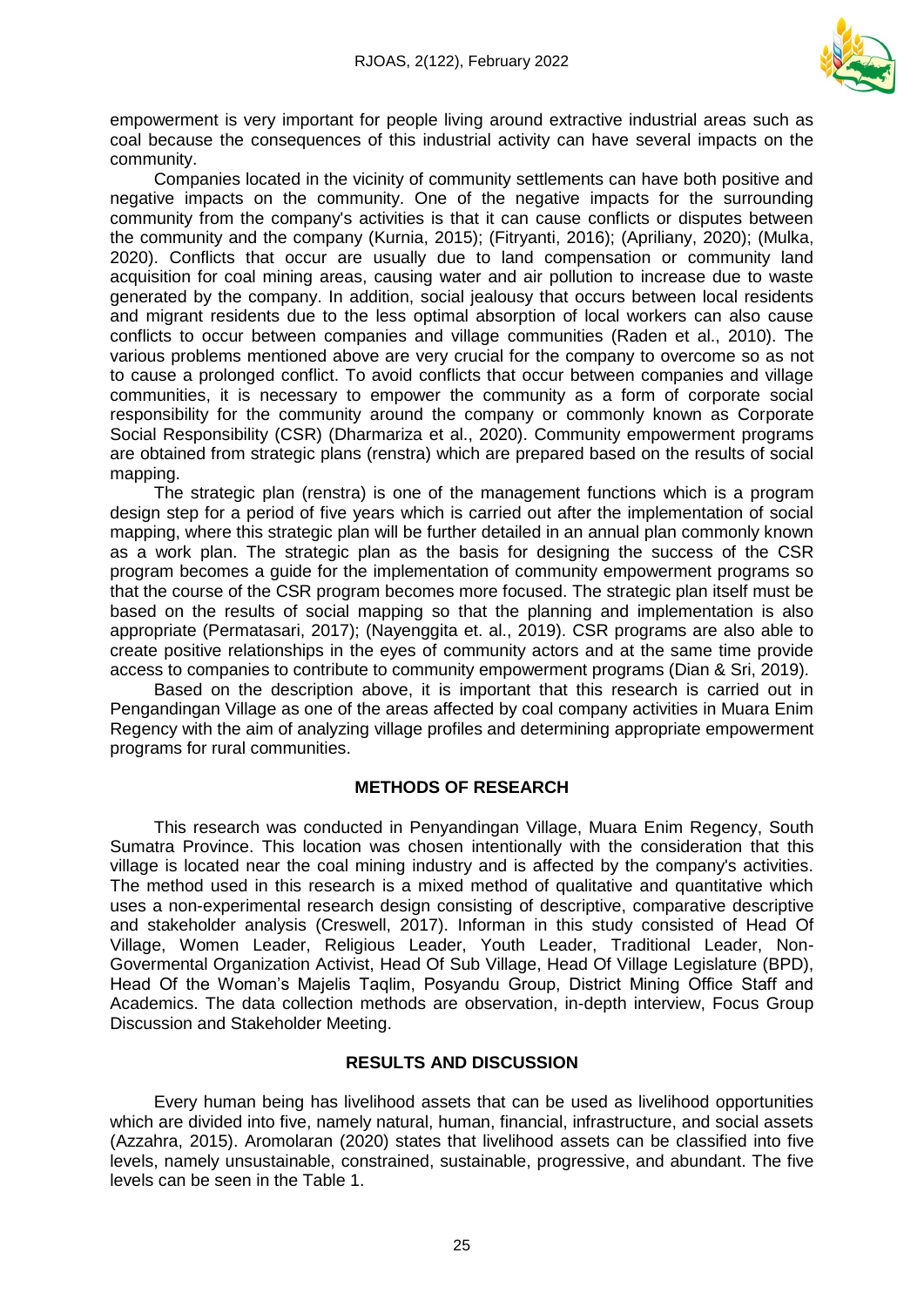

empowerment is very important for people living around extractive industrial areas such as coal because the consequences of this industrial activity can have several impacts on the community.

Companies located in the vicinity of community settlements can have both positive and negative impacts on the community. One of the negative impacts for the surrounding community from the company's activities is that it can cause conflicts or disputes between the community and the company (Kurnia, 2015); (Fitryanti, 2016); (Apriliany, 2020); (Mulka, 2020). Conflicts that occur are usually due to land compensation or community land acquisition for coal mining areas, causing water and air pollution to increase due to waste generated by the company. In addition, social jealousy that occurs between local residents and migrant residents due to the less optimal absorption of local workers can also cause conflicts to occur between companies and village communities (Raden et al., 2010). The various problems mentioned above are very crucial for the company to overcome so as not to cause a prolonged conflict. To avoid conflicts that occur between companies and village communities, it is necessary to empower the community as a form of corporate social responsibility for the community around the company or commonly known as Corporate Social Responsibility (CSR) (Dharmariza et al., 2020). Community empowerment programs are obtained from strategic plans (renstra) which are prepared based on the results of social mapping.

The strategic plan (renstra) is one of the management functions which is a program design step for a period of five years which is carried out after the implementation of social mapping, where this strategic plan will be further detailed in an annual plan commonly known as a work plan. The strategic plan as the basis for designing the success of the CSR program becomes a guide for the implementation of community empowerment programs so that the course of the CSR program becomes more focused. The strategic plan itself must be based on the results of social mapping so that the planning and implementation is also appropriate (Permatasari, 2017); (Nayenggita et. al., 2019). CSR programs are also able to create positive relationships in the eyes of community actors and at the same time provide access to companies to contribute to community empowerment programs (Dian & Sri, 2019).

Based on the description above, it is important that this research is carried out in Pengandingan Village as one of the areas affected by coal company activities in Muara Enim Regency with the aim of analyzing village profiles and determining appropriate empowerment programs for rural communities.

#### **METHODS OF RESEARCH**

This research was conducted in Penyandingan Village, Muara Enim Regency, South Sumatra Province. This location was chosen intentionally with the consideration that this village is located near the coal mining industry and is affected by the company's activities. The method used in this research is a mixed method of qualitative and quantitative which uses a non-experimental research design consisting of descriptive, comparative descriptive and stakeholder analysis (Creswell, 2017). Informan in this study consisted of Head Of Village, Women Leader, Religious Leader, Youth Leader, Traditional Leader, Non-Govermental Organization Activist, Head Of Sub Village, Head Of Village Legislature (BPD), Head Of the Woman's Majelis Taqlim, Posyandu Group, District Mining Office Staff and Academics. The data collection methods are observation, in-depth interview, Focus Group Discussion and Stakeholder Meeting.

#### **RESULTS AND DISCUSSION**

Every human being has livelihood assets that can be used as livelihood opportunities which are divided into five, namely natural, human, financial, infrastructure, and social assets (Azzahra, 2015). Aromolaran (2020) states that livelihood assets can be classified into five levels, namely unsustainable, constrained, sustainable, progressive, and abundant. The five levels can be seen in the Table 1.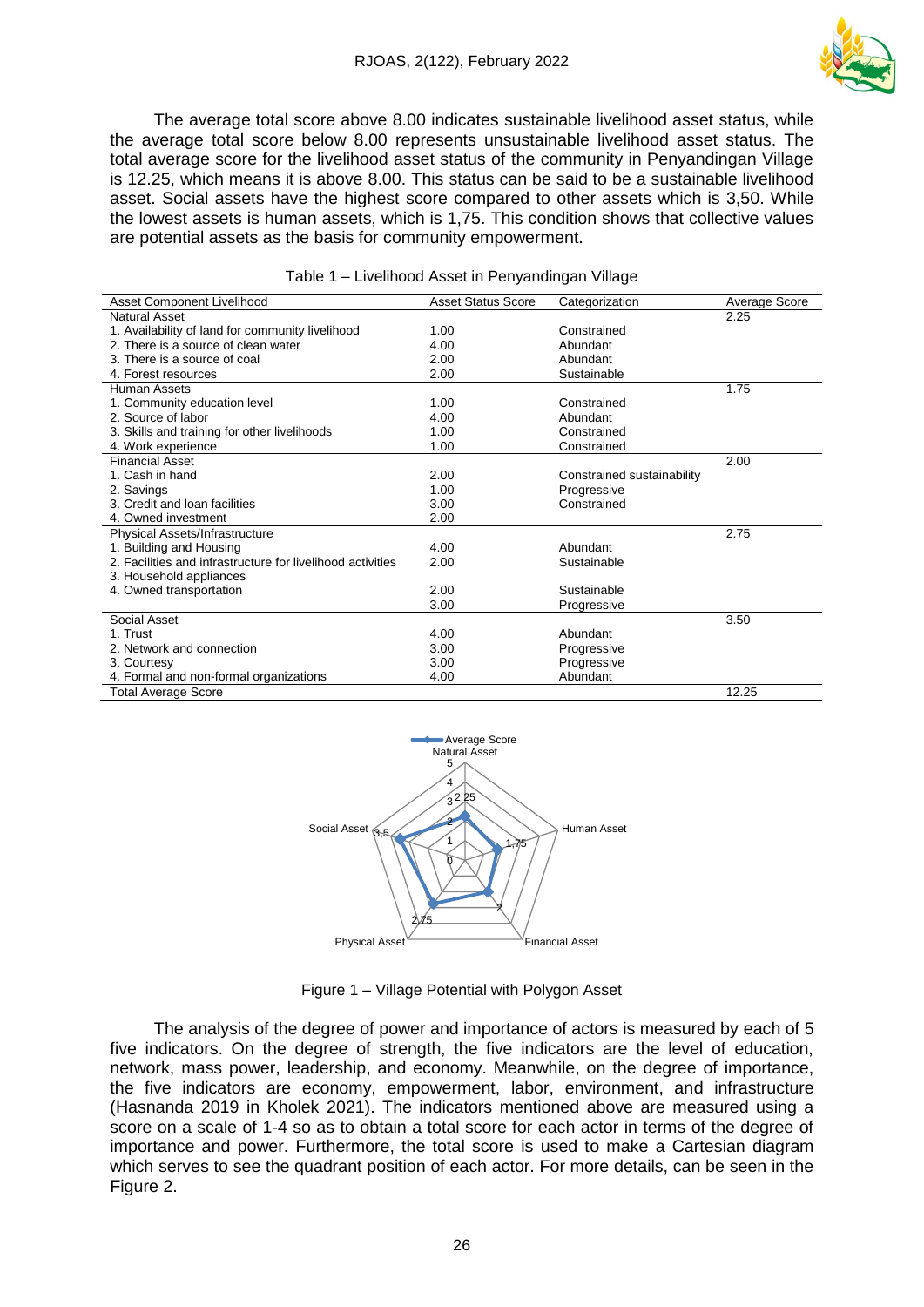

The average total score above 8.00 indicates sustainable livelihood asset status, while the average total score below 8.00 represents unsustainable livelihood asset status. The total average score for the livelihood asset status of the community in Penyandingan Village is 12.25, which means it is above 8.00. This status can be said to be a sustainable livelihood asset. Social assets have the highest score compared to other assets which is 3,50. While the lowest assets is human assets, which is 1,75. This condition shows that collective values are potential assets as the basis for community empowerment.

| Asset Component Livelihood                                 | <b>Asset Status Score</b> | Categorization             | Average Score |
|------------------------------------------------------------|---------------------------|----------------------------|---------------|
| <b>Natural Asset</b>                                       |                           |                            | 2.25          |
| 1. Availability of land for community livelihood           | 1.00                      | Constrained                |               |
| 2. There is a source of clean water                        | 4.00                      | Abundant                   |               |
| 3. There is a source of coal                               | 2.00                      | Abundant                   |               |
| 4. Forest resources                                        | 2.00                      | Sustainable                |               |
| Human Assets                                               |                           |                            | 1.75          |
| 1. Community education level                               | 1.00                      | Constrained                |               |
| 2. Source of labor                                         | 4.00                      | Abundant                   |               |
| 3. Skills and training for other livelihoods               | 1.00                      | Constrained                |               |
| 4. Work experience                                         | 1.00                      | Constrained                |               |
| <b>Financial Asset</b>                                     |                           |                            | 2.00          |
| 1. Cash in hand                                            | 2.00                      | Constrained sustainability |               |
| 2. Savings                                                 | 1.00                      | Progressive                |               |
| 3. Credit and loan facilities                              | 3.00                      | Constrained                |               |
| 4. Owned investment                                        | 2.00                      |                            |               |
| Physical Assets/Infrastructure                             |                           |                            | 2.75          |
| 1. Building and Housing                                    | 4.00                      | Abundant                   |               |
| 2. Facilities and infrastructure for livelihood activities | 2.00                      | Sustainable                |               |
| 3. Household appliances                                    |                           |                            |               |
| 4. Owned transportation                                    | 2.00                      | Sustainable                |               |
|                                                            | 3.00                      | Progressive                |               |
| Social Asset                                               |                           |                            | 3.50          |
| 1. Trust                                                   | 4.00                      | Abundant                   |               |
| 2. Network and connection                                  | 3.00                      | Progressive                |               |
| 3. Courtesy                                                | 3.00                      | Progressive                |               |
| 4. Formal and non-formal organizations                     | 4.00                      | Abundant                   |               |
| <b>Total Average Score</b>                                 |                           |                            | 12.25         |

| Table 1 – Livelihood Asset in Penyandingan Village |  |  |
|----------------------------------------------------|--|--|



Figure 1 – Village Potential with Polygon Asset

The analysis of the degree of power and importance of actors is measured by each of 5 five indicators. On the degree of strength, the five indicators are the level of education, network, mass power, leadership, and economy. Meanwhile, on the degree of importance, the five indicators are economy, empowerment, labor, environment, and infrastructure (Hasnanda 2019 in Kholek 2021). The indicators mentioned above are measured using a score on a scale of 1-4 so as to obtain a total score for each actor in terms of the degree of importance and power. Furthermore, the total score is used to make a Cartesian diagram which serves to see the quadrant position of each actor. For more details, can be seen in the Figure 2.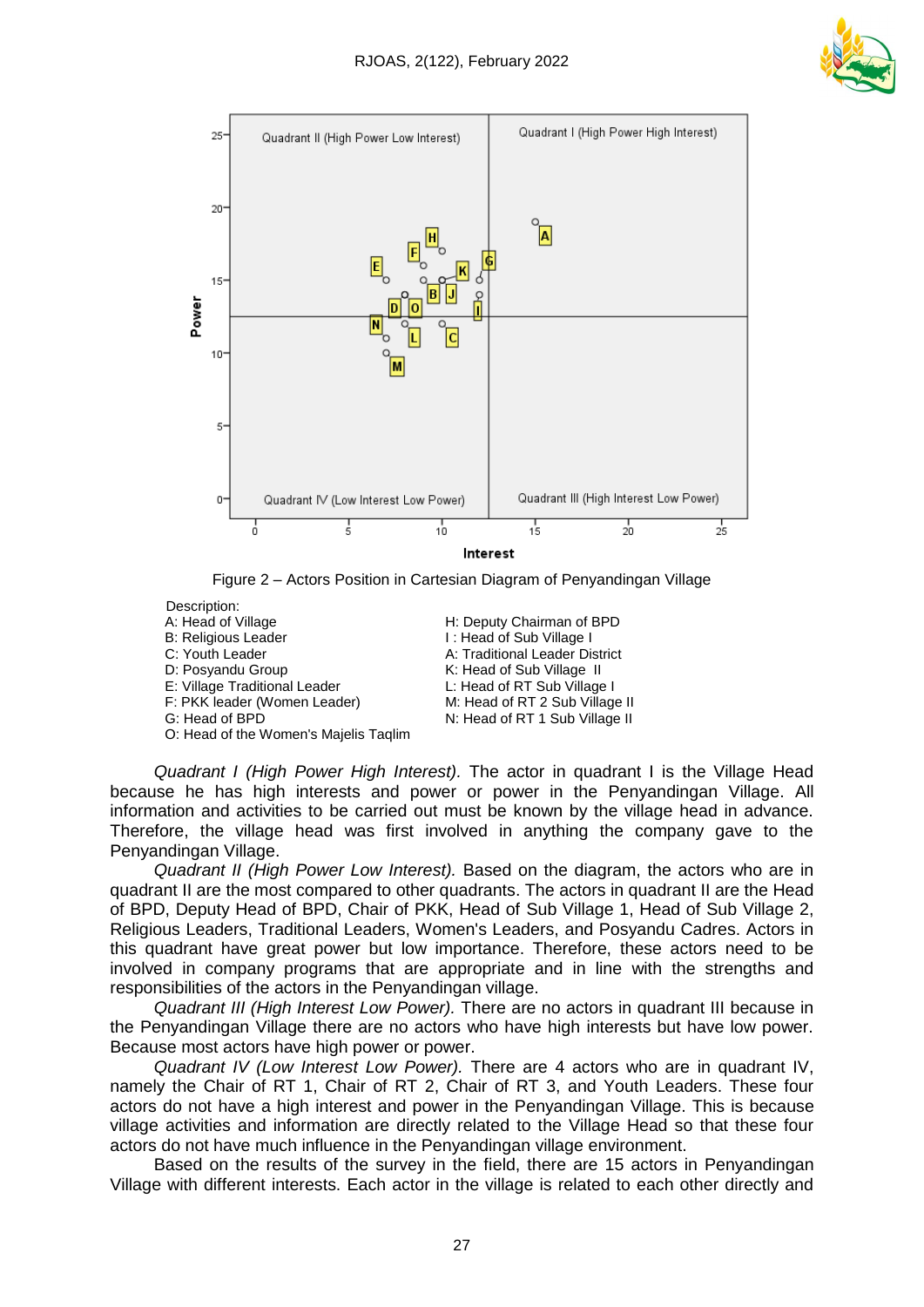





Description: A: Head of Village **Head of Sepulate H: Deputy Chairman of BPD**<br>B: Religious Leader **Head of Sub Village I** I: Head of Sub Village I C: Youth Leader **A: Traditional Leader District** D: Posyandu Group K: Head of Sub Village II E: Village Traditional Leader L: Head of RT Sub Village I<br>F: PKK leader (Women Leader) M: Head of RT 2 Sub Village II F: PKK leader (Women Leader)

G: Head of BPD N: Head of RT 1 Sub Village II O: Head of the Women's Majelis Taqlim *Quadrant I (High Power High Interest).* The actor in quadrant I is the Village Head because he has high interests and power or power in the Penyandingan Village. All information and activities to be carried out must be known by the village head in advance. Therefore, the village head was first involved in anything the company gave to the

Penyandingan Village. *Quadrant II (High Power Low Interest).* Based on the diagram, the actors who are in quadrant II are the most compared to other quadrants. The actors in quadrant II are the Head of BPD, Deputy Head of BPD, Chair of PKK, Head of Sub Village 1, Head of Sub Village 2, Religious Leaders, Traditional Leaders, Women's Leaders, and Posyandu Cadres. Actors in this quadrant have great power but low importance. Therefore, these actors need to be involved in company programs that are appropriate and in line with the strengths and responsibilities of the actors in the Penyandingan village.

*Quadrant III (High Interest Low Power).* There are no actors in quadrant III because in the Penyandingan Village there are no actors who have high interests but have low power. Because most actors have high power or power.

*Quadrant IV (Low Interest Low Power).* There are 4 actors who are in quadrant IV, namely the Chair of RT 1, Chair of RT 2, Chair of RT 3, and Youth Leaders. These four actors do not have a high interest and power in the Penyandingan Village. This is because village activities and information are directly related to the Village Head so that these four actors do not have much influence in the Penyandingan village environment.

Based on the results of the survey in the field, there are 15 actors in Penyandingan Village with different interests. Each actor in the village is related to each other directly and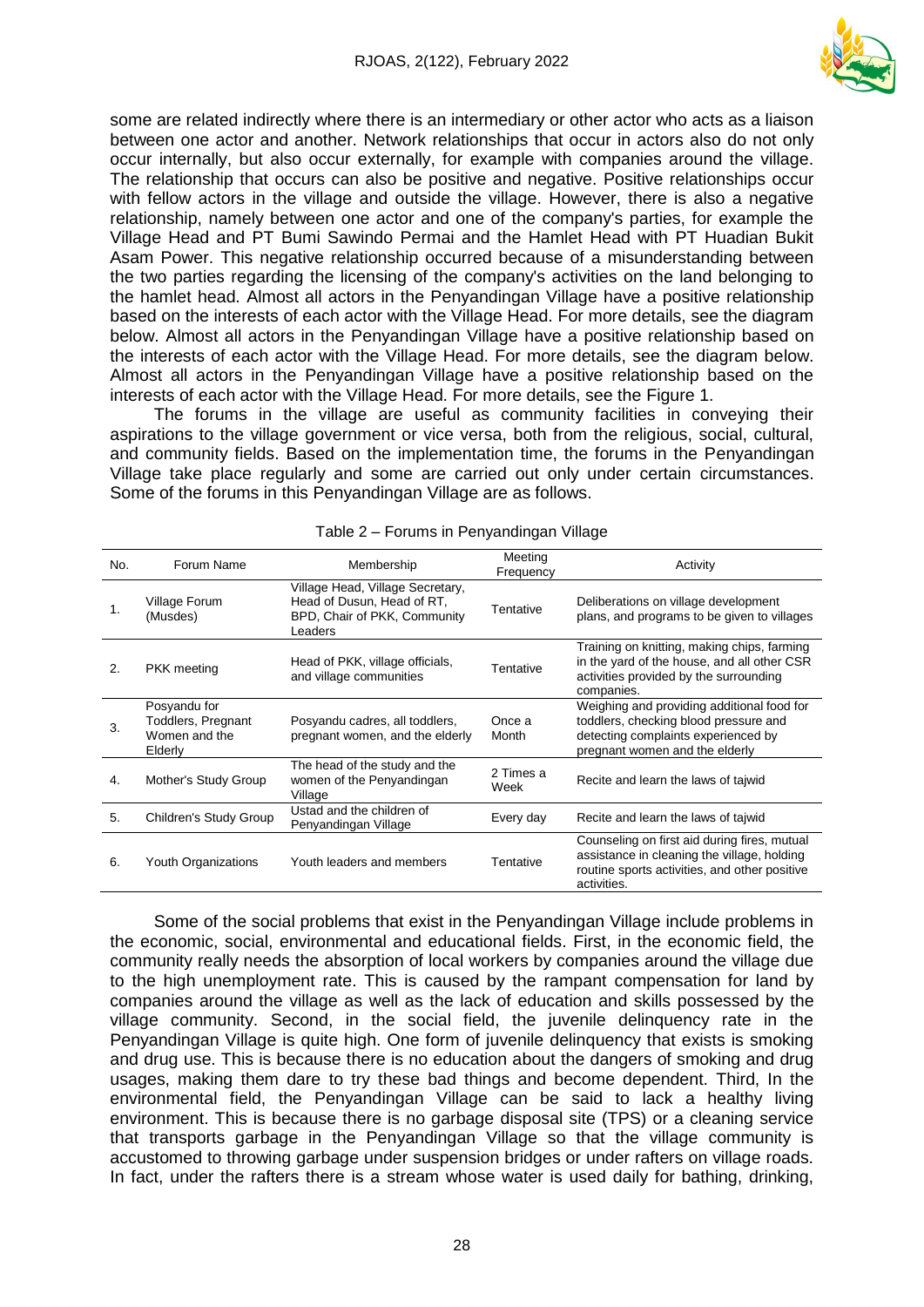

some are related indirectly where there is an intermediary or other actor who acts as a liaison between one actor and another. Network relationships that occur in actors also do not only occur internally, but also occur externally, for example with companies around the village. The relationship that occurs can also be positive and negative. Positive relationships occur with fellow actors in the village and outside the village. However, there is also a negative relationship, namely between one actor and one of the company's parties, for example the Village Head and PT Bumi Sawindo Permai and the Hamlet Head with PT Huadian Bukit Asam Power. This negative relationship occurred because of a misunderstanding between the two parties regarding the licensing of the company's activities on the land belonging to the hamlet head. Almost all actors in the Penyandingan Village have a positive relationship based on the interests of each actor with the Village Head. For more details, see the diagram below. Almost all actors in the Penyandingan Village have a positive relationship based on the interests of each actor with the Village Head. For more details, see the diagram below. Almost all actors in the Penyandingan Village have a positive relationship based on the interests of each actor with the Village Head. For more details, see the Figure 1.

The forums in the village are useful as community facilities in conveying their aspirations to the village government or vice versa, both from the religious, social, cultural, and community fields. Based on the implementation time, the forums in the Penyandingan Village take place regularly and some are carried out only under certain circumstances. Some of the forums in this Penyandingan Village are as follows.

| No.                   | Forum Name                                                     | Membership                                                                                                | Meeting<br>Frequency | Activity                                                                                                                                                     |
|-----------------------|----------------------------------------------------------------|-----------------------------------------------------------------------------------------------------------|----------------------|--------------------------------------------------------------------------------------------------------------------------------------------------------------|
| 1.                    | Village Forum<br>(Musdes)                                      | Village Head, Village Secretary,<br>Head of Dusun, Head of RT,<br>BPD, Chair of PKK, Community<br>Leaders | Tentative            | Deliberations on village development<br>plans, and programs to be given to villages                                                                          |
| $\mathcal{P}_{\cdot}$ | <b>PKK</b> meeting                                             | Head of PKK, village officials,<br>and village communities                                                | Tentative            | Training on knitting, making chips, farming<br>in the yard of the house, and all other CSR<br>activities provided by the surrounding<br>companies.           |
| 3.                    | Posyandu for<br>Toddlers, Pregnant<br>Women and the<br>Elderly | Posyandu cadres, all toddlers,<br>pregnant women, and the elderly                                         | Once a<br>Month      | Weighing and providing additional food for<br>toddlers, checking blood pressure and<br>detecting complaints experienced by<br>pregnant women and the elderly |
| 4.                    | Mother's Study Group                                           | The head of the study and the<br>women of the Penyandingan<br>Village                                     | 2 Times a<br>Week    | Recite and learn the laws of taiwid                                                                                                                          |
| 5.                    | Children's Study Group                                         | Ustad and the children of<br>Penyandingan Village                                                         | Every day            | Recite and learn the laws of tajwid                                                                                                                          |
| 6.                    | Youth Organizations                                            | Youth leaders and members                                                                                 | Tentative            | Counseling on first aid during fires, mutual<br>assistance in cleaning the village, holding<br>routine sports activities, and other positive<br>activities.  |

Table 2 – Forums in Penyandingan Village

Some of the social problems that exist in the Penyandingan Village include problems in the economic, social, environmental and educational fields. First, in the economic field, the community really needs the absorption of local workers by companies around the village due to the high unemployment rate. This is caused by the rampant compensation for land by companies around the village as well as the lack of education and skills possessed by the village community. Second, in the social field, the juvenile delinquency rate in the Penyandingan Village is quite high. One form of juvenile delinquency that exists is smoking and drug use. This is because there is no education about the dangers of smoking and drug usages, making them dare to try these bad things and become dependent. Third, In the environmental field, the Penyandingan Village can be said to lack a healthy living environment. This is because there is no garbage disposal site (TPS) or a cleaning service that transports garbage in the Penyandingan Village so that the village community is accustomed to throwing garbage under suspension bridges or under rafters on village roads. In fact, under the rafters there is a stream whose water is used daily for bathing, drinking,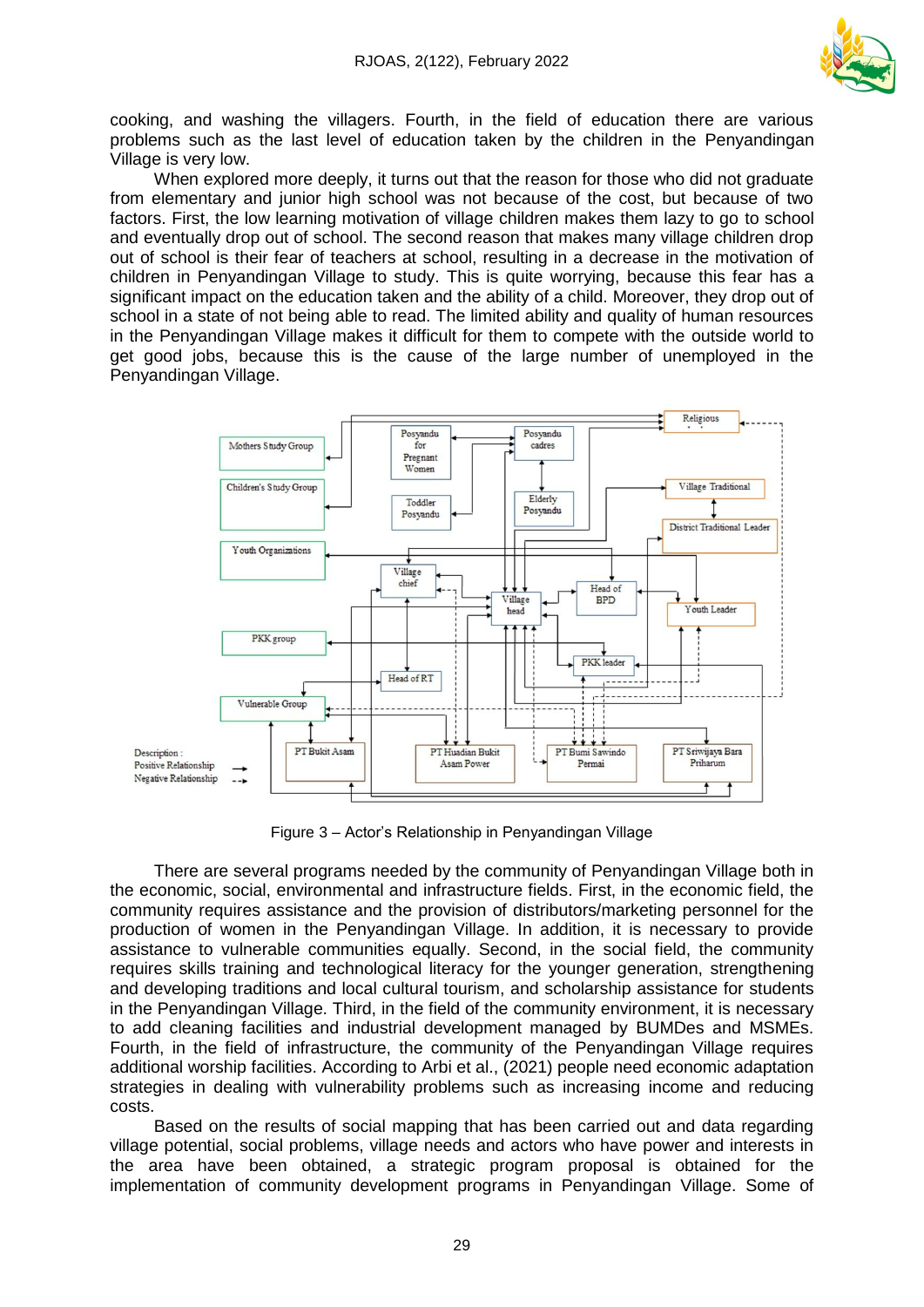

cooking, and washing the villagers. Fourth, in the field of education there are various problems such as the last level of education taken by the children in the Penyandingan Village is very low.

When explored more deeply, it turns out that the reason for those who did not graduate from elementary and junior high school was not because of the cost, but because of two factors. First, the low learning motivation of village children makes them lazy to go to school and eventually drop out of school. The second reason that makes many village children drop out of school is their fear of teachers at school, resulting in a decrease in the motivation of children in Penyandingan Village to study. This is quite worrying, because this fear has a significant impact on the education taken and the ability of a child. Moreover, they drop out of school in a state of not being able to read. The limited ability and quality of human resources in the Penyandingan Village makes it difficult for them to compete with the outside world to get good jobs, because this is the cause of the large number of unemployed in the Penyandingan Village.



Figure 3 – Actor's Relationship in Penyandingan Village

There are several programs needed by the community of Penyandingan Village both in the economic, social, environmental and infrastructure fields. First, in the economic field, the community requires assistance and the provision of distributors/marketing personnel for the production of women in the Penyandingan Village. In addition, it is necessary to provide assistance to vulnerable communities equally. Second, in the social field, the community requires skills training and technological literacy for the younger generation, strengthening and developing traditions and local cultural tourism, and scholarship assistance for students in the Penyandingan Village. Third, in the field of the community environment, it is necessary to add cleaning facilities and industrial development managed by BUMDes and MSMEs. Fourth, in the field of infrastructure, the community of the Penyandingan Village requires additional worship facilities. According to Arbi et al., (2021) people need economic adaptation strategies in dealing with vulnerability problems such as increasing income and reducing costs.

Based on the results of social mapping that has been carried out and data regarding village potential, social problems, village needs and actors who have power and interests in the area have been obtained, a strategic program proposal is obtained for the implementation of community development programs in Penyandingan Village. Some of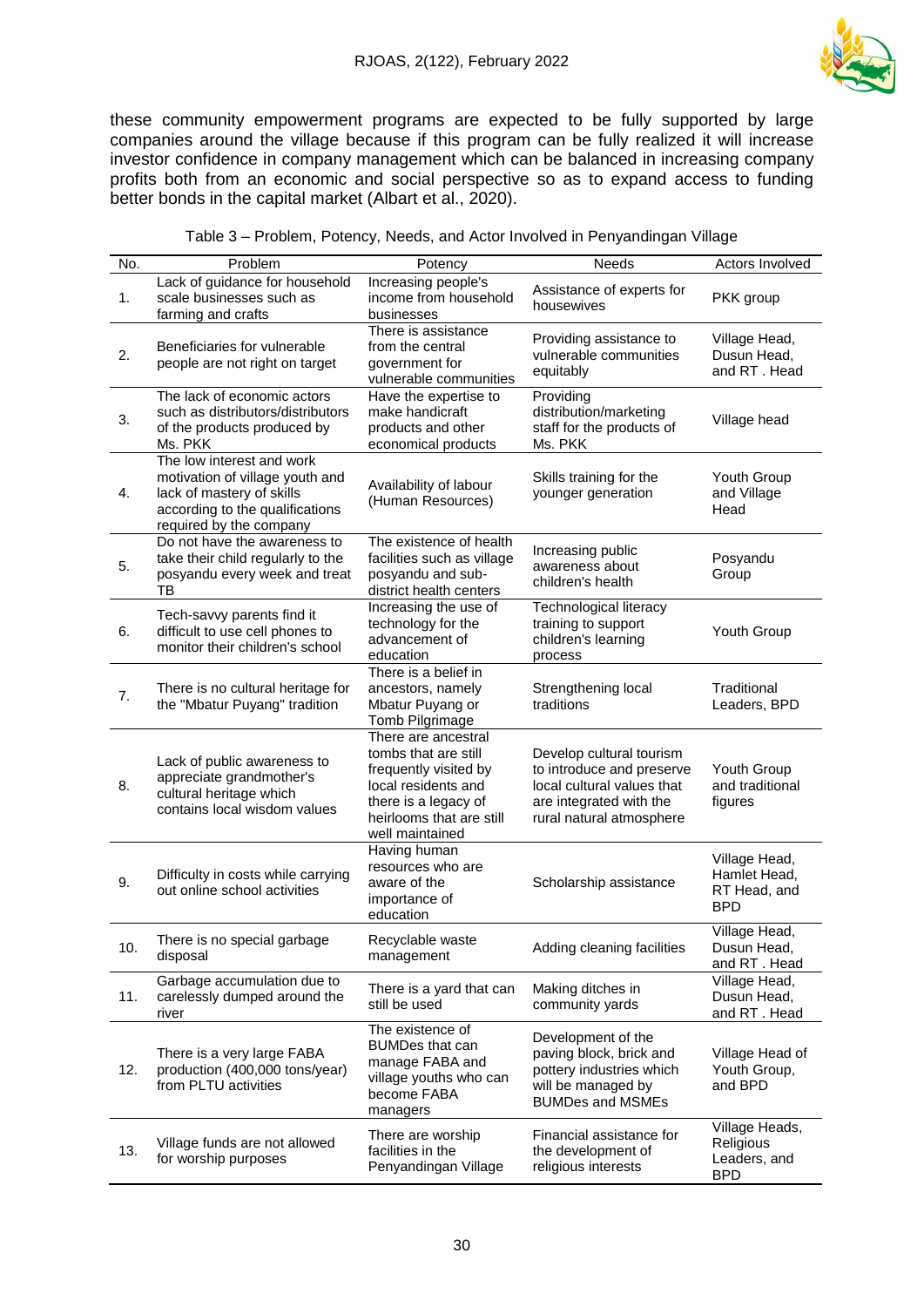

these community empowerment programs are expected to be fully supported by large companies around the village because if this program can be fully realized it will increase investor confidence in company management which can be balanced in increasing company profits both from an economic and social perspective so as to expand access to funding better bonds in the capital market (Albart et al., 2020).

| No. | Problem                                                                                                                                                 | Potency                                                                                                                                                            | Needs                                                                                                                                      | Actors Involved                                             |
|-----|---------------------------------------------------------------------------------------------------------------------------------------------------------|--------------------------------------------------------------------------------------------------------------------------------------------------------------------|--------------------------------------------------------------------------------------------------------------------------------------------|-------------------------------------------------------------|
| 1.  | Lack of guidance for household<br>scale businesses such as<br>farming and crafts                                                                        | Increasing people's<br>income from household<br>businesses                                                                                                         | Assistance of experts for<br>housewives                                                                                                    | PKK group                                                   |
| 2.  | Beneficiaries for vulnerable<br>people are not right on target                                                                                          | There is assistance<br>from the central<br>government for<br>vulnerable communities                                                                                | Providing assistance to<br>vulnerable communities<br>equitably                                                                             | Village Head,<br>Dusun Head,<br>and RT. Head                |
| 3.  | The lack of economic actors<br>such as distributors/distributors<br>of the products produced by<br>Ms. PKK                                              | Have the expertise to<br>make handicraft<br>products and other<br>economical products                                                                              | Providing<br>distribution/marketing<br>staff for the products of<br>Ms. PKK                                                                | Village head                                                |
| 4.  | The low interest and work<br>motivation of village youth and<br>lack of mastery of skills<br>according to the qualifications<br>required by the company | Availability of labour<br>(Human Resources)                                                                                                                        | Skills training for the<br>younger generation                                                                                              | Youth Group<br>and Village<br>Head                          |
| 5.  | Do not have the awareness to<br>take their child regularly to the<br>posyandu every week and treat<br>ТB                                                | The existence of health<br>facilities such as village<br>posyandu and sub-<br>district health centers                                                              | Increasing public<br>awareness about<br>children's health                                                                                  | Posyandu<br>Group                                           |
| 6.  | Tech-savvy parents find it<br>difficult to use cell phones to<br>monitor their children's school                                                        | Increasing the use of<br>technology for the<br>advancement of<br>education                                                                                         | <b>Technological literacy</b><br>training to support<br>children's learning<br>process                                                     | Youth Group                                                 |
| 7.  | There is no cultural heritage for<br>the "Mbatur Puyang" tradition                                                                                      | There is a belief in<br>ancestors, namely<br>Mbatur Puyang or<br>Tomb Pilgrimage                                                                                   | Strengthening local<br>traditions                                                                                                          | Traditional<br>Leaders, BPD                                 |
| 8.  | Lack of public awareness to<br>appreciate grandmother's<br>cultural heritage which<br>contains local wisdom values                                      | There are ancestral<br>tombs that are still<br>frequently visited by<br>local residents and<br>there is a legacy of<br>heirlooms that are still<br>well maintained | Develop cultural tourism<br>to introduce and preserve<br>local cultural values that<br>are integrated with the<br>rural natural atmosphere | Youth Group<br>and traditional<br>figures                   |
| 9.  | Difficulty in costs while carrying<br>out online school activities                                                                                      | Having human<br>resources who are<br>aware of the<br>importance of<br>education                                                                                    | Scholarship assistance                                                                                                                     | Village Head,<br>Hamlet Head,<br>RT Head, and<br><b>BPD</b> |
| 10. | There is no special garbage<br>disposal                                                                                                                 | Recyclable waste<br>management                                                                                                                                     | Adding cleaning facilities                                                                                                                 | Village Head,<br>Dusun Head.<br>and RT. Head                |
| 11. | Garbage accumulation due to<br>carelessly dumped around the<br>river                                                                                    | There is a yard that can<br>still be used                                                                                                                          | Making ditches in<br>community yards                                                                                                       | Village Head,<br>Dusun Head,<br>and RT. Head                |
| 12. | There is a very large FABA<br>production (400,000 tons/year)<br>from PLTU activities                                                                    | The existence of<br><b>BUMDes that can</b><br>manage FABA and<br>village youths who can<br>become FABA<br>managers                                                 | Development of the<br>paving block, brick and<br>pottery industries which<br>will be managed by<br><b>BUMDes and MSMEs</b>                 | Village Head of<br>Youth Group,<br>and BPD                  |
| 13. | Village funds are not allowed<br>for worship purposes                                                                                                   | There are worship<br>facilities in the<br>Penyandingan Village                                                                                                     | Financial assistance for<br>the development of<br>religious interests                                                                      | Village Heads,<br>Religious<br>Leaders, and<br><b>BPD</b>   |

#### Table 3 – Problem, Potency, Needs, and Actor Involved in Penyandingan Village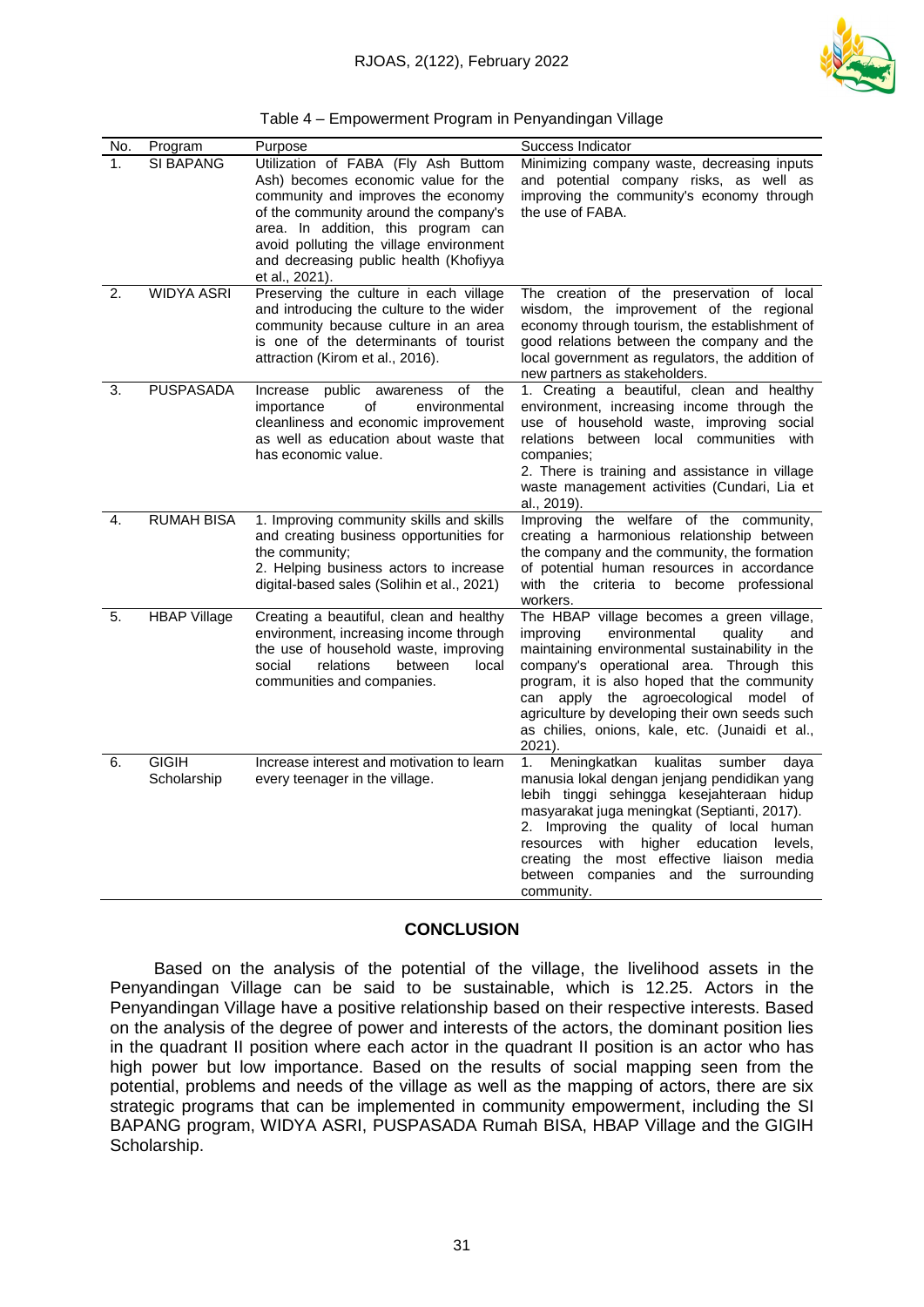

| Table 4 – Empowerment Program in Penyandingan Village |  |  |
|-------------------------------------------------------|--|--|
|                                                       |  |  |
|                                                       |  |  |

| No. | Program                     | Purpose                                                                                                                                                                                                                                                                                                 | Success Indicator                                                                                                                                                                                                                                                                                                                                                                                   |
|-----|-----------------------------|---------------------------------------------------------------------------------------------------------------------------------------------------------------------------------------------------------------------------------------------------------------------------------------------------------|-----------------------------------------------------------------------------------------------------------------------------------------------------------------------------------------------------------------------------------------------------------------------------------------------------------------------------------------------------------------------------------------------------|
| 1.  | <b>SI BAPANG</b>            | Utilization of FABA (Fly Ash Buttom<br>Ash) becomes economic value for the<br>community and improves the economy<br>of the community around the company's<br>area. In addition, this program can<br>avoid polluting the village environment<br>and decreasing public health (Khofiyya<br>et al., 2021). | Minimizing company waste, decreasing inputs<br>and potential company risks, as well as<br>improving the community's economy through<br>the use of FABA.                                                                                                                                                                                                                                             |
| 2.  | <b>WIDYA ASRI</b>           | Preserving the culture in each village<br>and introducing the culture to the wider<br>community because culture in an area<br>is one of the determinants of tourist<br>attraction (Kirom et al., 2016).                                                                                                 | The creation of the preservation of local<br>wisdom, the improvement of the regional<br>economy through tourism, the establishment of<br>good relations between the company and the<br>local government as regulators, the addition of<br>new partners as stakeholders.                                                                                                                             |
| 3.  | <b>PUSPASADA</b>            | of<br>public<br>the<br>Increase<br>awareness<br>οf<br>environmental<br>importance<br>cleanliness and economic improvement<br>as well as education about waste that<br>has economic value.                                                                                                               | 1. Creating a beautiful, clean and healthy<br>environment, increasing income through the<br>use of household waste, improving social<br>relations between local communities with<br>companies:<br>2. There is training and assistance in village<br>waste management activities (Cundari, Lia et<br>al., 2019).                                                                                     |
| 4.  | <b>RUMAH BISA</b>           | 1. Improving community skills and skills<br>and creating business opportunities for<br>the community;<br>2. Helping business actors to increase<br>digital-based sales (Solihin et al., 2021)                                                                                                           | Improving the welfare of the community,<br>creating a harmonious relationship between<br>the company and the community, the formation<br>of potential human resources in accordance<br>with the criteria to become professional<br>workers.                                                                                                                                                         |
| 5.  | <b>HBAP Village</b>         | Creating a beautiful, clean and healthy<br>environment, increasing income through<br>the use of household waste, improving<br>relations<br>social<br>between<br>local<br>communities and companies.                                                                                                     | The HBAP village becomes a green village,<br>improving<br>environmental<br>quality<br>and<br>maintaining environmental sustainability in the<br>company's operational area. Through this<br>program, it is also hoped that the community<br>apply the agroecological model of<br>can<br>agriculture by developing their own seeds such<br>as chilies, onions, kale, etc. (Junaidi et al.,<br>2021). |
| 6.  | <b>GIGIH</b><br>Scholarship | Increase interest and motivation to learn<br>every teenager in the village.                                                                                                                                                                                                                             | 1.<br>Meningkatkan<br>kualitas<br>sumber<br>daya<br>manusia lokal dengan jenjang pendidikan yang<br>lebih tinggi sehingga kesejahteraan hidup<br>masyarakat juga meningkat (Septianti, 2017).<br>2. Improving the quality of local human<br>resources<br>with<br>higher<br>education<br>levels,<br>creating the most effective liaison media<br>between companies and the surrounding<br>community. |

## **CONCLUSION**

Based on the analysis of the potential of the village, the livelihood assets in the Penyandingan Village can be said to be sustainable, which is 12.25. Actors in the Penyandingan Village have a positive relationship based on their respective interests. Based on the analysis of the degree of power and interests of the actors, the dominant position lies in the quadrant II position where each actor in the quadrant II position is an actor who has high power but low importance. Based on the results of social mapping seen from the potential, problems and needs of the village as well as the mapping of actors, there are six strategic programs that can be implemented in community empowerment, including the SI BAPANG program, WIDYA ASRI, PUSPASADA Rumah BISA, HBAP Village and the GIGIH Scholarship.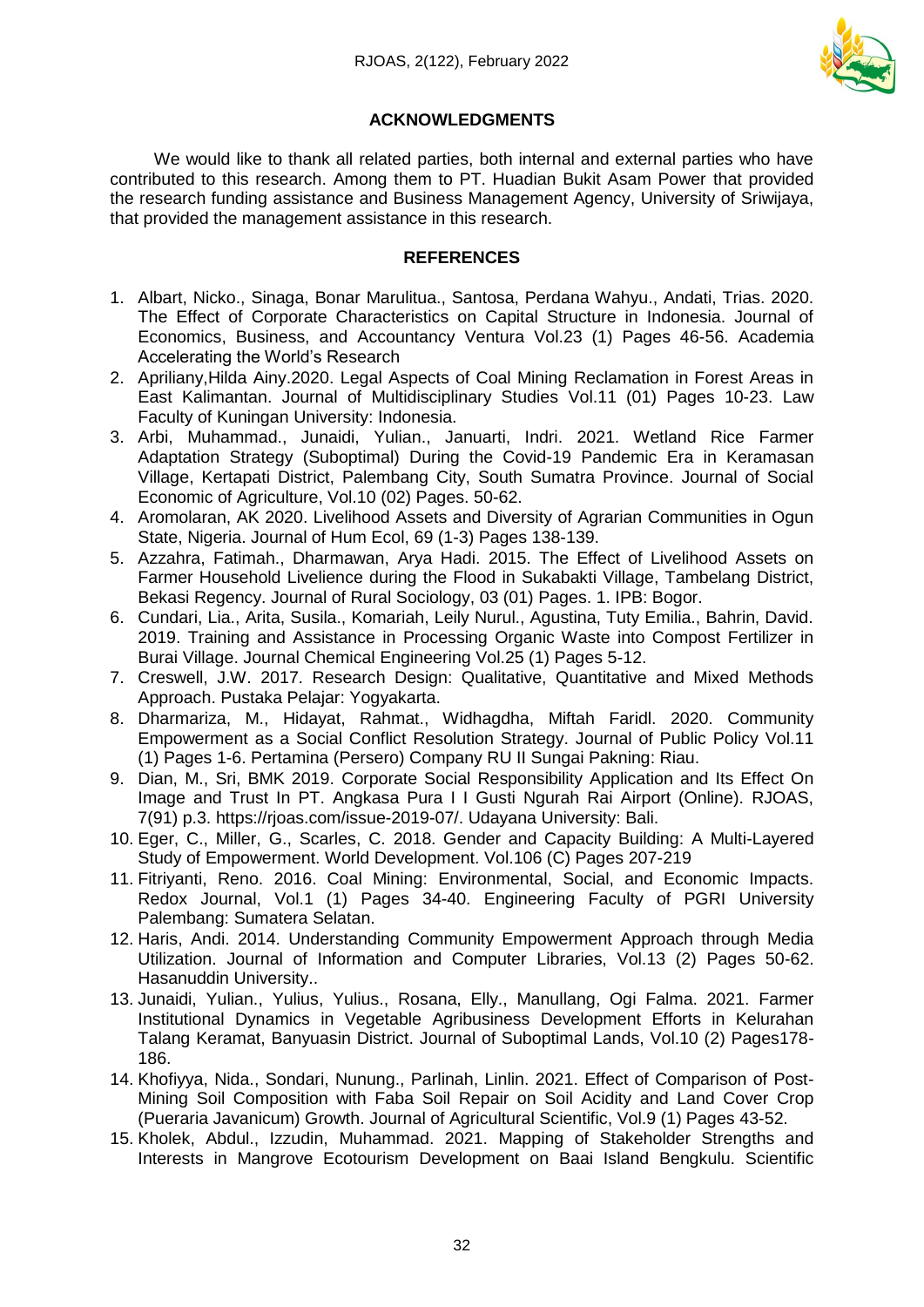

# **ACKNOWLEDGMENTS**

We would like to thank all related parties, both internal and external parties who have contributed to this research. Among them to PT. Huadian Bukit Asam Power that provided the research funding assistance and Business Management Agency, University of Sriwijaya, that provided the management assistance in this research.

### **REFERENCES**

- 1. Albart, Nicko., Sinaga, Bonar Marulitua., Santosa, Perdana Wahyu., Andati, Trias. 2020. The Effect of Corporate Characteristics on Capital Structure in Indonesia. Journal of Economics, Business, and Accountancy Ventura Vol.23 (1) Pages 46-56. Academia Accelerating the World's Research
- 2. Apriliany,Hilda Ainy.2020. Legal Aspects of Coal Mining Reclamation in Forest Areas in East Kalimantan. Journal of Multidisciplinary Studies Vol.11 (01) Pages 10-23. Law Faculty of Kuningan University: Indonesia.
- 3. Arbi, Muhammad., Junaidi, Yulian., Januarti, Indri. 2021. Wetland Rice Farmer Adaptation Strategy (Suboptimal) During the Covid-19 Pandemic Era in Keramasan Village, Kertapati District, Palembang City, South Sumatra Province. Journal of Social Economic of Agriculture, Vol.10 (02) Pages. 50-62.
- 4. Aromolaran, AK 2020. Livelihood Assets and Diversity of Agrarian Communities in Ogun State, Nigeria. Journal of Hum Ecol, 69 (1-3) Pages 138-139.
- 5. Azzahra, Fatimah., Dharmawan, Arya Hadi. 2015. The Effect of Livelihood Assets on Farmer Household Livelience during the Flood in Sukabakti Village, Tambelang District, Bekasi Regency. Journal of Rural Sociology, 03 (01) Pages. 1. IPB: Bogor.
- 6. Cundari, Lia., Arita, Susila., Komariah, Leily Nurul., Agustina, Tuty Emilia., Bahrin, David. 2019. Training and Assistance in Processing Organic Waste into Compost Fertilizer in Burai Village. Journal Chemical Engineering Vol.25 (1) Pages 5-12.
- 7. Creswell, J.W. 2017. Research Design: Qualitative, Quantitative and Mixed Methods Approach. Pustaka Pelajar: Yogyakarta.
- 8. Dharmariza, M., Hidayat, Rahmat., Widhagdha, Miftah Faridl. 2020. Community Empowerment as a Social Conflict Resolution Strategy. Journal of Public Policy Vol.11 (1) Pages 1-6. Pertamina (Persero) Company RU II Sungai Pakning: Riau.
- 9. Dian, M., Sri, BMK 2019. Corporate Social Responsibility Application and Its Effect On Image and Trust In PT. Angkasa Pura I I Gusti Ngurah Rai Airport (Online). RJOAS, 7(91) p.3. https://rjoas.com/issue-2019-07/. Udayana University: Bali.
- 10. Eger, C., Miller, G., Scarles, C. 2018. Gender and Capacity Building: A Multi-Layered Study of Empowerment. World Development. Vol.106 (C) Pages 207-219
- 11. Fitriyanti, Reno. 2016. Coal Mining: Environmental, Social, and Economic Impacts. Redox Journal, Vol.1 (1) Pages 34-40. Engineering Faculty of PGRI University Palembang: Sumatera Selatan.
- 12. Haris, Andi. 2014. Understanding Community Empowerment Approach through Media Utilization. Journal of Information and Computer Libraries, Vol.13 (2) Pages 50-62. Hasanuddin University..
- 13. Junaidi, Yulian., Yulius, Yulius., Rosana, Elly., Manullang, Ogi Falma. 2021. Farmer Institutional Dynamics in Vegetable Agribusiness Development Efforts in Kelurahan Talang Keramat, Banyuasin District. Journal of Suboptimal Lands, Vol.10 (2) Pages178- 186.
- 14. Khofiyya, Nida., Sondari, Nunung., Parlinah, Linlin. 2021. Effect of Comparison of Post-Mining Soil Composition with Faba Soil Repair on Soil Acidity and Land Cover Crop (Pueraria Javanicum) Growth. Journal of Agricultural Scientific, Vol.9 (1) Pages 43-52.
- 15. Kholek, Abdul., Izzudin, Muhammad. 2021. Mapping of Stakeholder Strengths and Interests in Mangrove Ecotourism Development on Baai Island Bengkulu. Scientific